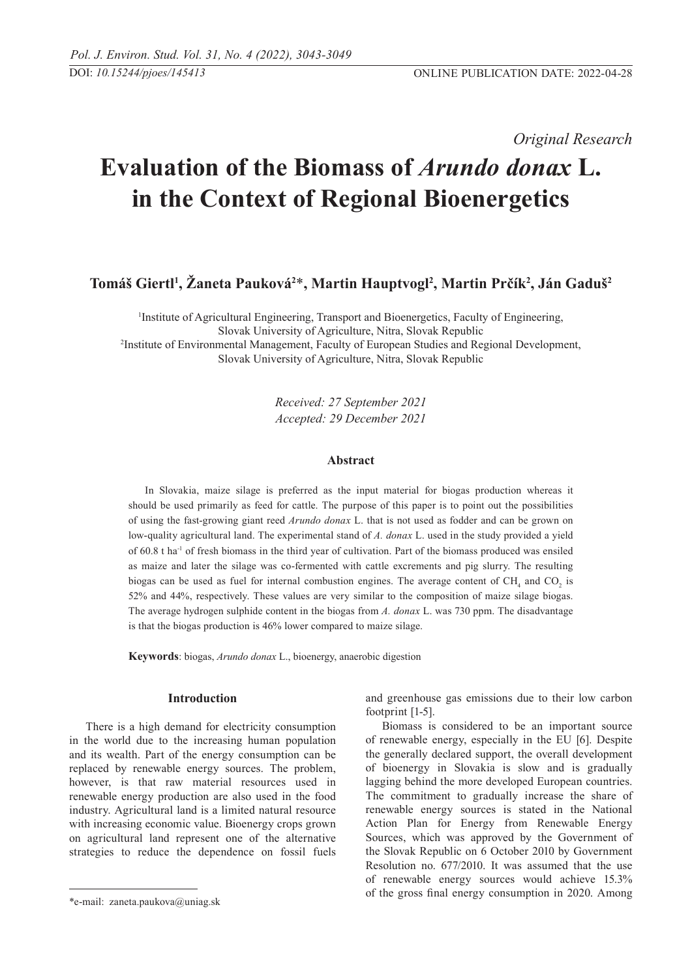*Original Research* 

# **Evaluation of the Biomass of** *Arundo donax* **L. in the Context of Regional Bioenergetics**

**Tomáš Giertl1 , Žaneta Pauková<sup>2</sup>** \***, Martin Hauptvogl2 , Martin Prčík<sup>2</sup> , Ján Gaduš2**

1 Institute of Agricultural Engineering, Transport and Bioenergetics, Faculty of Engineering, Slovak University of Agriculture, Nitra, Slovak Republic 2 Institute of Environmental Management, Faculty of European Studies and Regional Development, Slovak University of Agriculture, Nitra, Slovak Republic

> *Received: 27 September 2021 Accepted: 29 December 2021*

## **Abstract**

In Slovakia, maize silage is preferred as the input material for biogas production whereas it should be used primarily as feed for cattle. The purpose of this paper is to point out the possibilities of using the fast-growing giant reed *Arundo donax* L. that is not used as fodder and can be grown on low-quality agricultural land. The experimental stand of *A. donax* L. used in the study provided a yield of 60.8 t ha-1 of fresh biomass in the third year of cultivation. Part of the biomass produced was ensiled as maize and later the silage was co-fermented with cattle excrements and pig slurry. The resulting biogas can be used as fuel for internal combustion engines. The average content of  $\text{CH}_4$  and  $\text{CO}_2$  is 52% and 44%, respectively. These values are very similar to the composition of maize silage biogas. The average hydrogen sulphide content in the biogas from *A. donax* L. was 730 ppm. The disadvantage is that the biogas production is 46% lower compared to maize silage.

**Keywords**: biogas, *Arundo donax* L., bioenergy, anaerobic digestion

# **Introduction**

There is a high demand for electricity consumption in the world due to the increasing human population and its wealth. Part of the energy consumption can be replaced by renewable energy sources. The problem, however, is that raw material resources used in renewable energy production are also used in the food industry. Agricultural land is a limited natural resource with increasing economic value. Bioenergy crops grown on agricultural land represent one of the alternative strategies to reduce the dependence on fossil fuels

and greenhouse gas emissions due to their low carbon footprint [1-5].

Biomass is considered to be an important source of renewable energy, especially in the EU [6]. Despite the generally declared support, the overall development of bioenergy in Slovakia is slow and is gradually lagging behind the more developed European countries. The commitment to gradually increase the share of renewable energy sources is stated in the National Action Plan for Energy from Renewable Energy Sources, which was approved by the Government of the Slovak Republic on 6 October 2010 by Government Resolution no. 677/2010. It was assumed that the use of renewable energy sources would achieve 15.3% of the gross final energy consumption in 2020. Among

<sup>\*</sup>e-mail: zaneta.paukova@uniag.sk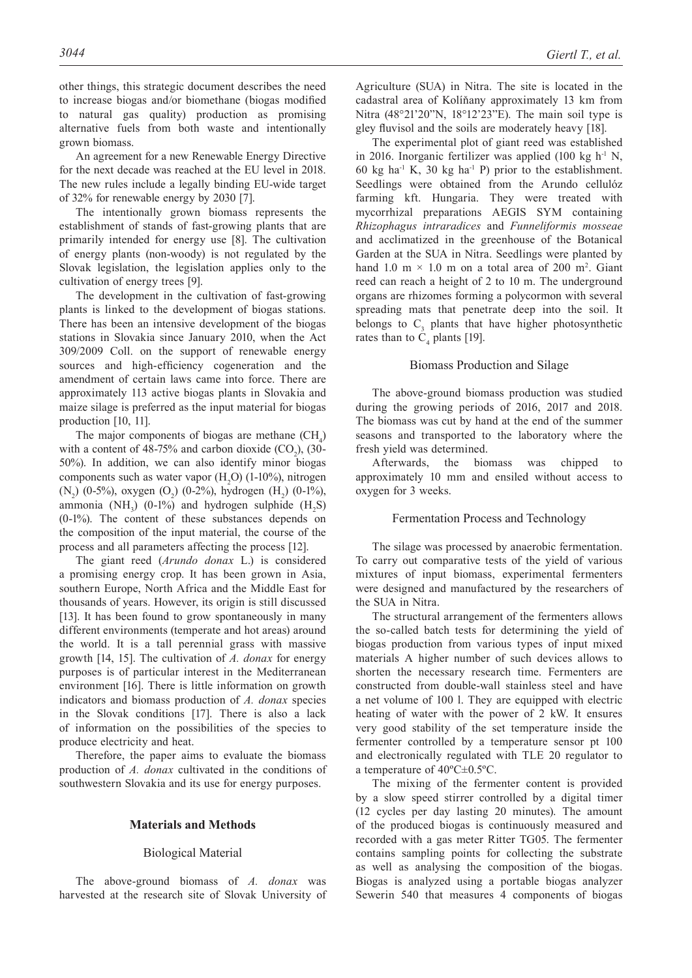other things, this strategic document describes the need to increase biogas and/or biomethane (biogas modified to natural gas quality) production as promising alternative fuels from both waste and intentionally grown biomass.

An agreement for a new Renewable Energy Directive for the next decade was reached at the EU level in 2018. The new rules include a legally binding EU-wide target of 32% for renewable energy by 2030 [7].

The intentionally grown biomass represents the establishment of stands of fast-growing plants that are primarily intended for energy use [8]. The cultivation of energy plants (non-woody) is not regulated by the Slovak legislation, the legislation applies only to the cultivation of energy trees [9].

The development in the cultivation of fast-growing plants is linked to the development of biogas stations. There has been an intensive development of the biogas stations in Slovakia since January 2010, when the Act 309/2009 Coll. on the support of renewable energy sources and high-efficiency cogeneration and the amendment of certain laws came into force. There are approximately 113 active biogas plants in Slovakia and maize silage is preferred as the input material for biogas production [10, 11].

The major components of biogas are methane  $(CH<sub>4</sub>)$ with a content of 48-75% and carbon dioxide  $(CO_2)$ , (30-50%). In addition, we can also identify minor biogas components such as water vapor  $(H<sub>2</sub>O)$  (1-10%), nitrogen  $(N_2)$  (0-5%), oxygen  $(O_2)$  (0-2%), hydrogen  $(H_2)$  (0-1%), ammonia (NH<sub>3</sub>) (0-1%) and hydrogen sulphide  $(H_2S)$ (0-1%). The content of these substances depends on the composition of the input material, the course of the process and all parameters affecting the process [12].

The giant reed (*Arundo donax* L.) is considered a promising energy crop. It has been grown in Asia, southern Europe, North Africa and the Middle East for thousands of years. However, its origin is still discussed [13]. It has been found to grow spontaneously in many different environments (temperate and hot areas) around the world. It is a tall perennial grass with massive growth [14, 15]. The cultivation of *A. donax* for energy purposes is of particular interest in the Mediterranean environment [16]. There is little information on growth indicators and biomass production of *A. donax* species in the Slovak conditions [17]. There is also a lack of information on the possibilities of the species to produce electricity and heat.

Therefore, the paper aims to evaluate the biomass production of *A. donax* cultivated in the conditions of southwestern Slovakia and its use for energy purposes.

#### **Materials and Methods**

#### Biological Material

The above-ground biomass of *A. donax* was harvested at the research site of Slovak University of Agriculture (SUA) in Nitra. The site is located in the cadastral area of Kolíňany approximately 13 km from Nitra (48°21'20"N, 18°12'23"E). The main soil type is gley fluvisol and the soils are moderately heavy [18].

The experimental plot of giant reed was established in 2016. Inorganic fertilizer was applied (100 kg  $h<sup>-1</sup>$  N, 60 kg ha<sup>-1</sup> K, 30 kg ha<sup>-1</sup> P) prior to the establishment. Seedlings were obtained from the Arundo cellulóz farming kft. Hungaria. They were treated with mycorrhizal preparations AEGIS SYM containing *Rhizophagus intraradices* and *Funneliformis mosseae* and acclimatized in the greenhouse of the Botanical Garden at the SUA in Nitra. Seedlings were planted by hand 1.0 m  $\times$  1.0 m on a total area of 200 m<sup>2</sup>. Giant reed can reach a height of 2 to 10 m. The underground organs are rhizomes forming a polycormon with several spreading mats that penetrate deep into the soil. It belongs to  $C_3$  plants that have higher photosynthetic rates than to  $C_4$  plants [19].

#### Biomass Production and Silage

The above-ground biomass production was studied during the growing periods of 2016, 2017 and 2018. The biomass was cut by hand at the end of the summer seasons and transported to the laboratory where the fresh yield was determined.

Afterwards, the biomass was chipped to approximately 10 mm and ensiled without access to oxygen for 3 weeks.

#### Fermentation Process and Technology

The silage was processed by anaerobic fermentation. To carry out comparative tests of the yield of various mixtures of input biomass, experimental fermenters were designed and manufactured by the researchers of the SUA in Nitra.

The structural arrangement of the fermenters allows the so-called batch tests for determining the yield of biogas production from various types of input mixed materials A higher number of such devices allows to shorten the necessary research time. Fermenters are constructed from double-wall stainless steel and have a net volume of 100 l. They are equipped with electric heating of water with the power of 2 kW. It ensures very good stability of the set temperature inside the fermenter controlled by a temperature sensor pt 100 and electronically regulated with TLE 20 regulator to a temperature of 40ºC±0.5ºC.

The mixing of the fermenter content is provided by a slow speed stirrer controlled by a digital timer (12 cycles per day lasting 20 minutes). The amount of the produced biogas is continuously measured and recorded with a gas meter Ritter TG05. The fermenter contains sampling points for collecting the substrate as well as analysing the composition of the biogas. Biogas is analyzed using a portable biogas analyzer Sewerin 540 that measures 4 components of biogas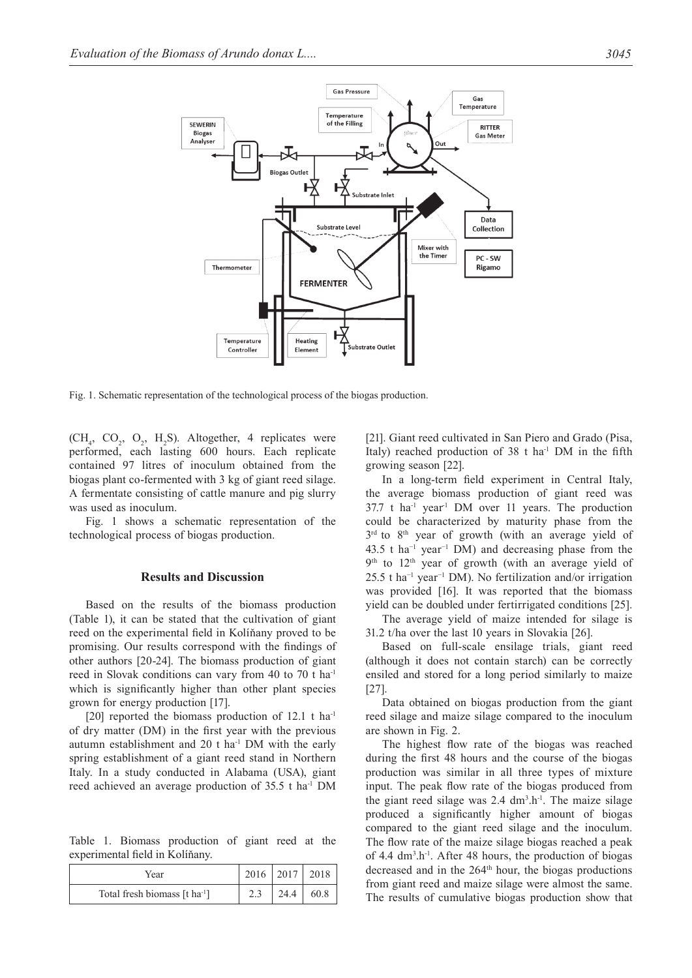

Fig. 1. Schematic representation of the technological process of the biogas production.

 $(CH_4, CO_2, O_2, H_2S)$ . Altogether, 4 replicates were performed, each lasting 600 hours. Each replicate contained 97 litres of inoculum obtained from the biogas plant co-fermented with 3 kg of giant reed silage. A fermentate consisting of cattle manure and pig slurry was used as inoculum.

Fig. 1 shows a schematic representation of the technological process of biogas production.

## **Results and Discussion**

Based on the results of the biomass production (Table 1), it can be stated that the cultivation of giant reed on the experimental field in Kolíňany proved to be promising. Our results correspond with the findings of other authors [20-24]. The biomass production of giant reed in Slovak conditions can vary from 40 to 70 t ha-1 which is significantly higher than other plant species grown for energy production [17].

[20] reported the biomass production of  $12.1$  t ha<sup>-1</sup> of dry matter (DM) in the first year with the previous autumn establishment and 20 t ha<sup>-1</sup> DM with the early spring establishment of a giant reed stand in Northern Italy. In a study conducted in Alabama (USA), giant reed achieved an average production of 35.5 t ha-1 DM

Table 1. Biomass production of giant reed at the experimental field in Kolíňany.

| Year                                      | $2016$   2017 | 2018 |
|-------------------------------------------|---------------|------|
| Total fresh biomass [t ha <sup>-1</sup> ] | 24.4          | 60.8 |

[21]. Giant reed cultivated in San Piero and Grado (Pisa, Italy) reached production of  $38$  t ha<sup>-1</sup> DM in the fifth growing season [22].

In a long-term field experiment in Central Italy, the average biomass production of giant reed was  $37.7$  t ha<sup>-1</sup> year<sup>1</sup> DM over 11 years. The production could be characterized by maturity phase from the 3<sup>rd</sup> to 8<sup>th</sup> year of growth (with an average yield of 43.5 t ha<sup>-1</sup> year<sup>-1</sup> DM) and decreasing phase from the 9<sup>th</sup> to 12<sup>th</sup> year of growth (with an average yield of 25.5 t ha<sup>-1</sup> year<sup>-1</sup> DM). No fertilization and/or irrigation was provided [16]. It was reported that the biomass yield can be doubled under fertirrigated conditions [25].

The average yield of maize intended for silage is 31.2 t/ha over the last 10 years in Slovakia [26].

Based on full-scale ensilage trials, giant reed (although it does not contain starch) can be correctly ensiled and stored for a long period similarly to maize [27].

Data obtained on biogas production from the giant reed silage and maize silage compared to the inoculum are shown in Fig. 2.

The highest flow rate of the biogas was reached during the first 48 hours and the course of the biogas production was similar in all three types of mixture input. The peak flow rate of the biogas produced from the giant reed silage was  $2.4 \text{ dm}^3 \cdot h^{-1}$ . The maize silage produced a significantly higher amount of biogas compared to the giant reed silage and the inoculum. The flow rate of the maize silage biogas reached a peak of 4.4 dm3 .h-1. After 48 hours, the production of biogas decreased and in the  $264<sup>th</sup>$  hour, the biogas productions from giant reed and maize silage were almost the same. The results of cumulative biogas production show that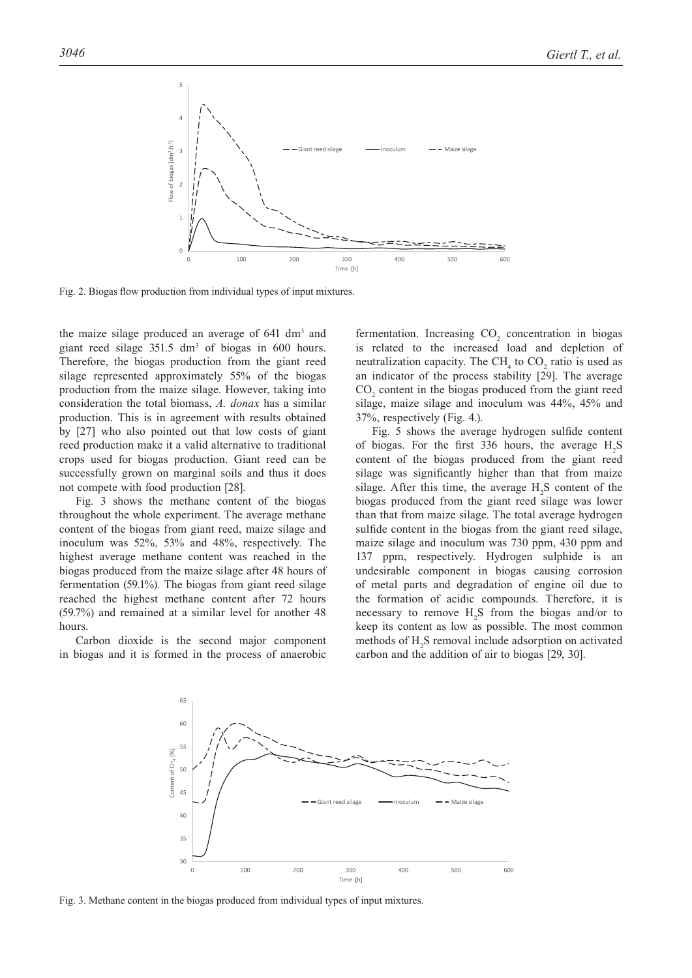

Fig. 2. Biogas flow production from individual types of input mixtures.

the maize silage produced an average of 641 dm<sup>3</sup> and giant reed silage 351.5 dm3 of biogas in 600 hours. Therefore, the biogas production from the giant reed silage represented approximately 55% of the biogas production from the maize silage. However, taking into consideration the total biomass, *A. donax* has a similar production. This is in agreement with results obtained by [27] who also pointed out that low costs of giant reed production make it a valid alternative to traditional crops used for biogas production. Giant reed can be successfully grown on marginal soils and thus it does not compete with food production [28].

Fig. 3 shows the methane content of the biogas throughout the whole experiment. The average methane content of the biogas from giant reed, maize silage and inoculum was 52%, 53% and 48%, respectively. The highest average methane content was reached in the biogas produced from the maize silage after 48 hours of fermentation (59.1%). The biogas from giant reed silage reached the highest methane content after 72 hours (59.7%) and remained at a similar level for another 48 hours.

Carbon dioxide is the second major component in biogas and it is formed in the process of anaerobic

fermentation. Increasing  $CO<sub>2</sub>$  concentration in biogas is related to the increased load and depletion of neutralization capacity. The  $CH<sub>4</sub>$  to  $CO<sub>2</sub>$  ratio is used as an indicator of the process stability [29]. The average  $CO<sub>2</sub>$  content in the biogas produced from the giant reed silage, maize silage and inoculum was 44%, 45% and 37%, respectively (Fig. 4.).

Fig. 5 shows the average hydrogen sulfide content of biogas. For the first 336 hours, the average  $H_2S$ content of the biogas produced from the giant reed silage was significantly higher than that from maize silage. After this time, the average  $H_2S$  content of the biogas produced from the giant reed silage was lower than that from maize silage. The total average hydrogen sulfide content in the biogas from the giant reed silage, maize silage and inoculum was 730 ppm, 430 ppm and 137 ppm, respectively. Hydrogen sulphide is an undesirable component in biogas causing corrosion of metal parts and degradation of engine oil due to the formation of acidic compounds. Therefore, it is necessary to remove  $H_2S$  from the biogas and/or to keep its content as low as possible. The most common methods of  $H_2S$  removal include adsorption on activated carbon and the addition of air to biogas [29, 30].



Fig. 3. Methane content in the biogas produced from individual types of input mixtures.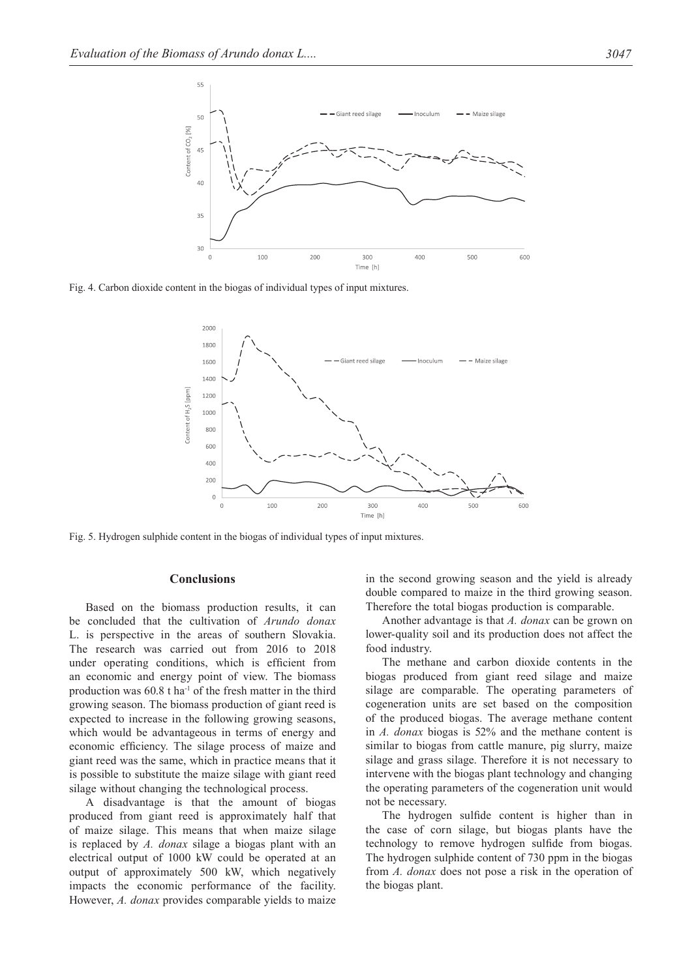

Fig. 4. Carbon dioxide content in the biogas of individual types of input mixtures.



Fig. 5. Hydrogen sulphide content in the biogas of individual types of input mixtures.

# **Conclusions**

Based on the biomass production results, it can be concluded that the cultivation of *Arundo donax* L. is perspective in the areas of southern Slovakia. The research was carried out from 2016 to 2018 under operating conditions, which is efficient from an economic and energy point of view. The biomass production was  $60.8$  t ha<sup>-1</sup> of the fresh matter in the third growing season. The biomass production of giant reed is expected to increase in the following growing seasons, which would be advantageous in terms of energy and economic efficiency. The silage process of maize and giant reed was the same, which in practice means that it is possible to substitute the maize silage with giant reed silage without changing the technological process.

A disadvantage is that the amount of biogas produced from giant reed is approximately half that of maize silage. This means that when maize silage is replaced by *A. donax* silage a biogas plant with an electrical output of 1000 kW could be operated at an output of approximately 500 kW, which negatively impacts the economic performance of the facility. However, *A. donax* provides comparable yields to maize in the second growing season and the yield is already double compared to maize in the third growing season. Therefore the total biogas production is comparable.

Another advantage is that *A. donax* can be grown on lower-quality soil and its production does not affect the food industry.

The methane and carbon dioxide contents in the biogas produced from giant reed silage and maize silage are comparable. The operating parameters of cogeneration units are set based on the composition of the produced biogas. The average methane content in *A. donax* biogas is 52% and the methane content is similar to biogas from cattle manure, pig slurry, maize silage and grass silage. Therefore it is not necessary to intervene with the biogas plant technology and changing the operating parameters of the cogeneration unit would not be necessary.

The hydrogen sulfide content is higher than in the case of corn silage, but biogas plants have the technology to remove hydrogen sulfide from biogas. The hydrogen sulphide content of 730 ppm in the biogas from *A. donax* does not pose a risk in the operation of the biogas plant.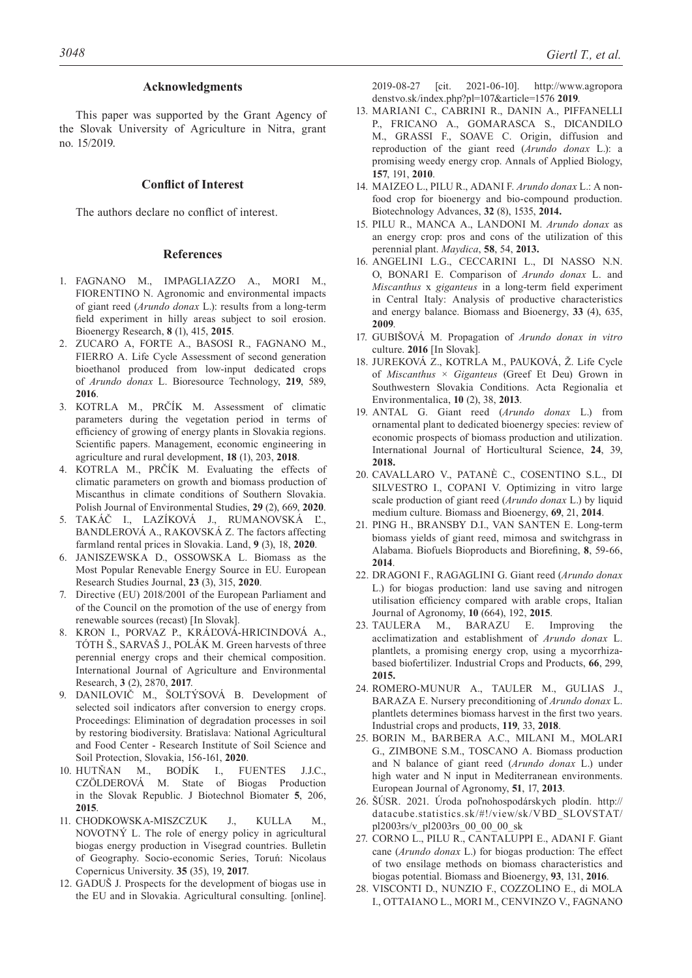## **Acknowledgments**

This paper was supported by the Grant Agency of the Slovak University of Agriculture in Nitra, grant no. 15/2019.

## **Conflict of Interest**

The authors declare no conflict of interest.

## **References**

- 1. FAGNANO M., IMPAGLIAZZO A., MORI M., FIORENTINO N. Agronomic and environmental impacts of giant reed (*Arundo donax* L.): results from a long-term field experiment in hilly areas subject to soil erosion. Bioenergy Research, **8** (1), 415, **2015**.
- 2. ZUCARO A, FORTE A., BASOSI R., FAGNANO M., FIERRO A. Life Cycle Assessment of second generation bioethanol produced from low-input dedicated crops of *Arundo donax* L. Bioresource Technology, **219**, 589, **2016**.
- 3. KOTRLA M., PRČÍK M. Assessment of climatic parameters during the vegetation period in terms of efficiency of growing of energy plants in Slovakia regions. Scientific papers. Management, economic engineering in agriculture and rural development, **18** (1), 203, **2018**.
- 4. KOTRLA M., PRČÍK M. Evaluating the effects of climatic parameters on growth and biomass production of Miscanthus in climate conditions of Southern Slovakia. Polish Journal of Environmental Studies, **29** (2), 669, **2020**.
- 5. TAKÁČ I., LAZÍKOVÁ J., RUMANOVSKÁ Ľ., BANDLEROVÁ A., RAKOVSKÁ Z. The factors affecting farmland rental prices in Slovakia. Land, **9** (3), 18, **2020**.
- 6. JANISZEWSKA D., OSSOWSKA L. Biomass as the Most Popular Renevable Energy Source in EU. European Research Studies Journal, **23** (3), 315, **2020**.
- 7. Directive (EU) 2018/2001 of the European Parliament and of the Council on the promotion of the use of energy from renewable sources (recast) [In Slovak].
- 8. KRON I., PORVAZ P., KRÁĽOVÁ-HRICINDOVÁ A., TÓTH Š., SARVAŠ J., POLÁK M. Green harvests of three perennial energy crops and their chemical composition. International Journal of Agriculture and Environmental Research, **3** (2), 2870, **2017**.
- 9. DANILOVIČ M., ŠOLTÝSOVÁ B. Development of selected soil indicators after conversion to energy crops. Proceedings: Elimination of degradation processes in soil by restoring biodiversity. Bratislava: National Agricultural and Food Center - Research Institute of Soil Science and Soil Protection, Slovakia, 156-161, **2020**.
- 10. HUTŇAN M., BODÍK I., FUENTES J.J.C., CZӦLDEROVÁ M. State of Biogas Production in the Slovak Republic. J Biotechnol Biomater **5**, 206, **2015**.
- 11. CHODKOWSKA-MISZCZUK J., KULLA M., NOVOTNÝ L. The role of energy policy in agricultural biogas energy production in Visegrad countries. Bulletin of Geography. Socio-economic Series, Toruń: Nicolaus Copernicus University. **35** (35), 19, **2017**.
- 12. GADUŠ J. Prospects for the development of biogas use in the EU and in Slovakia. Agricultural consulting. [online].

2019-08-27 [cit. 2021-06-10]. http://www.agropora denstvo.sk/index.php?pl=107&article=1576 **2019**.

- 13. MARIANI C., Cabrini R., Danin A., Piffanelli P., Fricano A., Gomarasca S., Dicandilo M., GRASSI F., SOAVE C. Origin, diffusion and reproduction of the giant reed (*Arundo donax* L.): a promising weedy energy crop. Annals of Applied Biology, **157**, 191, **2010**.
- 14. MAIZEO L., Pilu R., Adani F. *Arundo donax* L.: A nonfood crop for bioenergy and bio-compound production. Biotechnology Advances, **32** (8), 1535, **2014.**
- 15. PILU R., MANCA A., LANDONI M. *Arundo donax* as an energy crop: pros and cons of the utilization of this perennial plant. *Maydica*, **58**, 54, **2013.**
- 16. ANGELINI L.G., CECCARINI L., DI NASSO N.N. O, BONARI E. Comparison of *Arundo donax* L. and *Miscanthus* x *giganteus* in a long-term field experiment in Central Italy: Analysis of productive characteristics and energy balance. Biomass and Bioenergy, **33** (4), 635, **2009**.
- 17. GUBIŠOVÁ M. Propagation of *Arundo donax in vitro*  culture. **2016** [In Slovak].
- 18. JUREKOVÁ Z., KOTRLA M., PAUKOVÁ, Ž. Life Cycle of *Miscanthus* × *Giganteus* (Greef Et Deu) Grown in Southwestern Slovakia Conditions. Acta Regionalia et Environmentalica, **10** (2), 38, **2013**.
- 19. ANTAL G. Giant reed (*Arundo donax* L.) from ornamental plant to dedicated bioenergy species: review of economic prospects of biomass production and utilization. International Journal of Horticultural Science, **24**, 39, **2018.**
- 20. Cavallaro V., Patanè C., Cosentino S.L., Di SILVESTRO I., COPANI V. Optimizing in vitro large scale production of giant reed (*Arundo donax* L.) by liquid medium culture. Biomass and Bioenergy, **69**, 21, **2014**.
- 21. Ping H., Bransby D.I., van Santen E. Long-term biomass yields of giant reed, mimosa and switchgrass in Alabama. Biofuels Bioproducts and Biorefining, **8**, 59-66, **2014**.
- 22. DRAGONI F., RAGAGLINI G. Giant reed (*Arundo donax* L.) for biogas production: land use saving and nitrogen utilisation efficiency compared with arable crops, Italian Journal of Agronomy, **10** (664), 192, **2015**.
- 23. TAULERA M., BARAZU E. Improving the acclimatization and establishment of *Arundo donax* L. plantlets, a promising energy crop, using a mycorrhizabased biofertilizer. Industrial Crops and Products, **66**, 299, **2015.**
- 24. ROMERO-MUNUR A., Tauler M., Gulias J., BARAZA E. Nursery preconditioning of *Arundo donax* L. plantlets determines biomass harvest in the first two years. Industrial crops and products, **119**, 33, **2018**.
- 25. Borin M., Barbera A.C., Milani M., Molari G., Zimbone S.M., Toscano A. Biomass production and N balance of giant reed (*Arundo donax* L.) under high water and N input in Mediterranean environments. European Journal of Agronomy, **51**, 17, **2013**.
- 26. ŠÚSR. 2021. Úroda poľnohospodárskych plodín. http:// datacube.statistics.sk/#!/view/sk/VBD\_SLOVSTAT/ pl2003rs/v\_pl2003rs\_00\_00\_00\_sk
- 27. Corno L., Pilu R., Cantaluppi E., Adani F. Giant cane (*Arundo donax* L.) for biogas production: The effect of two ensilage methods on biomass characteristics and biogas potential. Biomass and Bioenergy, **93**, 131, **2016**.
- 28. VISCONTI D., NUNZIO F., COZZOLINO E., di MOLA I., OTTAIANO L., MORI M., CENVINZO V., FAGNANO